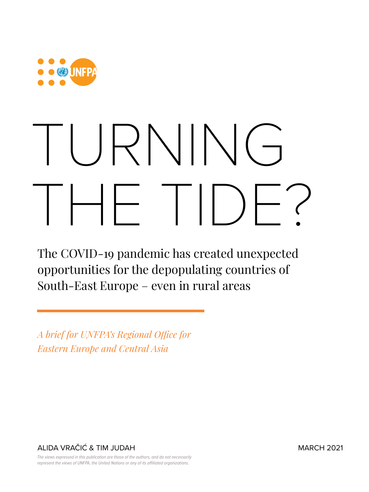

# TURNING  $\left\vert \begin{array}{ccc} \vert & \vert & \vert \end{array} \right\vert$

The COVID-19 pandemic has created unexpected opportunities for the depopulating countries of South-East Europe – even in rural areas

*A brief for UNFPA's Regional Office for Eastern Europe and Central Asia*

ALIDA VRAČIĆ & TIM JUDAH MARCH 2021

*The views expressed in this publication are those of the authors, and do not necessarily represent the views of UNFPA, the United Nations or any of its affiliated organizations.*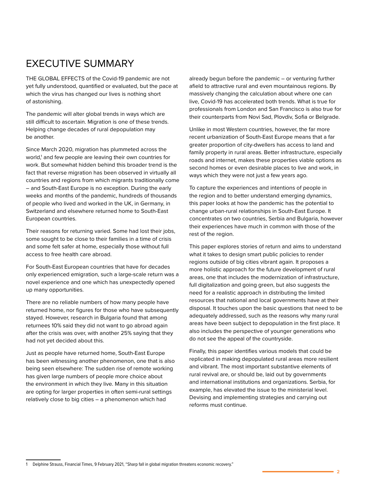# EXECUTIVE SUMMARY

THE GLOBAL EFFECTS of the Covid-19 pandemic are not yet fully understood, quantified or evaluated, but the pace at which the virus has changed our lives is nothing short of astonishing.

The pandemic will alter global trends in ways which are still difficult to ascertain. Migration is one of these trends. Helping change decades of rural depopulation may be another.

Since March 2020, migration has plummeted across the world,<sup>1</sup> and few people are leaving their own countries for work. But somewhat hidden behind this broader trend is the fact that reverse migration has been observed in virtually all countries and regions from which migrants traditionally come – and South-East Europe is no exception. During the early weeks and months of the pandemic, hundreds of thousands of people who lived and worked in the UK, in Germany, in Switzerland and elsewhere returned home to South-East European countries.

Their reasons for returning varied. Some had lost their jobs, some sought to be close to their families in a time of crisis and some felt safer at home, especially those without full access to free health care abroad.

For South-East European countries that have for decades only experienced emigration, such a large-scale return was a novel experience and one which has unexpectedly opened up many opportunities.

There are no reliable numbers of how many people have returned home, nor figures for those who have subsequently stayed. However, research in Bulgaria found that among returnees 10% said they did not want to go abroad again after the crisis was over, with another 25% saying that they had not yet decided about this.

Just as people have returned home, South-East Europe has been witnessing another phenomenon, one that is also being seen elsewhere: The sudden rise of remote working has given large numbers of people more choice about the environment in which they live. Many in this situation are opting for larger properties in often semi-rural settings relatively close to big cities – a phenomenon which had

already begun before the pandemic – or venturing further afield to attractive rural and even mountainous regions. By massively changing the calculation about where one can live, Covid-19 has accelerated both trends. What is true for professionals from London and San Francisco is also true for their counterparts from Novi Sad, Plovdiv, Sofia or Belgrade.

Unlike in most Western countries, however, the far more recent urbanization of South-East Europe means that a far greater proportion of city-dwellers has access to land and family property in rural areas. Better infrastructure, especially roads and internet, makes these properties viable options as second homes or even desirable places to live and work, in ways which they were not just a few years ago.

To capture the experiences and intentions of people in the region and to better understand emerging dynamics, this paper looks at how the pandemic has the potential to change urban-rural relationships in South-East Europe. It concentrates on two countries, Serbia and Bulgaria, however their experiences have much in common with those of the rest of the region.

This paper explores stories of return and aims to understand what it takes to design smart public policies to render regions outside of big cities vibrant again. It proposes a more holistic approach for the future development of rural areas, one that includes the modernization of infrastructure, full digitalization and going green, but also suggests the need for a realistic approach in distributing the limited resources that national and local governments have at their disposal. It touches upon the basic questions that need to be adequately addressed, such as the reasons why many rural areas have been subject to depopulation in the first place. It also includes the perspective of younger generations who do not see the appeal of the countryside.

Finally, this paper identifies various models that could be replicated in making depopulated rural areas more resilient and vibrant. The most important substantive elements of rural revival are, or should be, laid out by governments and international institutions and organizations. Serbia, for example, has elevated the issue to the ministerial level. Devising and implementing strategies and carrying out reforms must continue.

**2**

1 Delphine Strauss, Financial Times, 9 February 2021, "Sharp fall in global migration threatens economic recovery."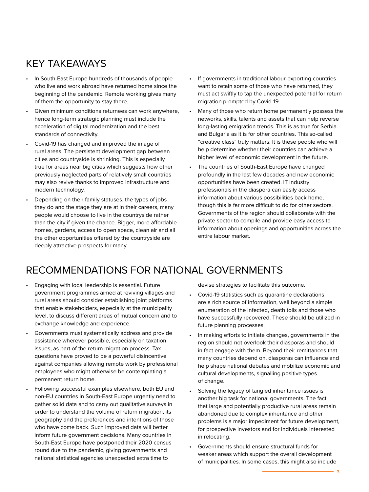# KEY TAKEAWAYS

- In South-East Europe hundreds of thousands of people who live and work abroad have returned home since the beginning of the pandemic. Remote working gives many of them the opportunity to stay there.
- Given minimum conditions returnees can work anywhere, hence long-term strategic planning must include the acceleration of digital modernization and the best standards of connectivity.
- Covid-19 has changed and improved the image of rural areas. The persistent development gap between cities and countryside is shrinking. This is especially true for areas near big cities which suggests how other previously neglected parts of relatively small countries may also revive thanks to improved infrastructure and modern technology.
- Depending on their family statuses, the types of jobs they do and the stage they are at in their careers, many people would choose to live in the countryside rather than the city if given the chance. Bigger, more affordable homes, gardens, access to open space, clean air and all the other opportunities offered by the countryside are deeply attractive prospects for many.
- If governments in traditional labour-exporting countries want to retain some of those who have returned, they must act swiftly to tap the unexpected potential for return migration prompted by Covid-19.
- Many of those who return home permanently possess the networks, skills, talents and assets that can help reverse long-lasting emigration trends. This is as true for Serbia and Bulgaria as it is for other countries. This so-called "creative class" truly matters: It is these people who will help determine whether their countries can achieve a higher level of economic development in the future.
- The countries of South-East Europe have changed profoundly in the last few decades and new economic opportunities have been created. IT industry professionals in the diaspora can easily access information about various possibilities back home, though this is far more difficult to do for other sectors. Governments of the region should collaborate with the private sector to compile and provide easy access to information about openings and opportunities across the entire labour market.

### RECOMMENDATIONS FOR NATIONAL GOVERNMENTS

- Engaging with local leadership is essential. Future government programmes aimed at reviving villages and rural areas should consider establishing joint platforms that enable stakeholders, especially at the municipality level, to discuss different areas of mutual concern and to exchange knowledge and experience.
- Governments must systematically address and provide assistance wherever possible, especially on taxation issues, as part of the return migration process. Tax questions have proved to be a powerful disincentive against companies allowing remote work by professional employees who might otherwise be contemplating a permanent return home.
- Following successful examples elsewhere, both EU and non-EU countries in South-East Europe urgently need to gather solid data and to carry out qualitative surveys in order to understand the volume of return migration, its geography and the preferences and intentions of those who have come back. Such improved data will better inform future government decisions. Many countries in South-East Europe have postponed their 2020 census round due to the pandemic, giving governments and national statistical agencies unexpected extra time to

devise strategies to facilitate this outcome.

- Covid-19 statistics such as quarantine declarations are a rich source of information, well beyond a simple enumeration of the infected, death tolls and those who have successfully recovered. These should be utilized in future planning processes.
- In making efforts to initiate changes, governments in the region should not overlook their diasporas and should in fact engage with them. Beyond their remittances that many countries depend on, diasporas can influence and help shape national debates and mobilize economic and cultural developments, signalling positive types of change.
- Solving the legacy of tangled inheritance issues is another big task for national governments. The fact that large and potentially productive rural areas remain abandoned due to complex inheritance and other problems is a major impediment for future development, for prospective investors and for individuals interested in relocating.
- Governments should ensure structural funds for weaker areas which support the overall development of municipalities. In some cases, this might also include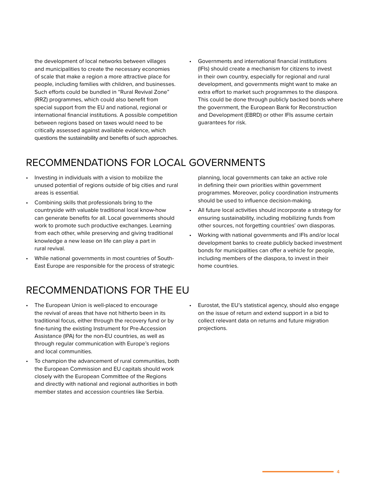the development of local networks between villages and municipalities to create the necessary economies of scale that make a region a more attractive place for people, including families with children, and businesses. Such efforts could be bundled in "Rural Revival Zone" (RRZ) programmes, which could also benefit from special support from the EU and national, regional or international financial institutions. A possible competition between regions based on taxes would need to be critically assessed against available evidence, which questions the sustainability and benefits of such approaches. • Governments and international financial institutions (IFIs) should create a mechanism for citizens to invest in their own country, especially for regional and rural development, and governments might want to make an extra effort to market such programmes to the diaspora. This could be done through publicly backed bonds where the government, the European Bank for Reconstruction and Development (EBRD) or other IFIs assume certain guarantees for risk.

# RECOMMENDATIONS FOR LOCAL GOVERNMENTS

- Investing in individuals with a vision to mobilize the unused potential of regions outside of big cities and rural areas is essential.
- Combining skills that professionals bring to the countryside with valuable traditional local know-how can generate benefits for all. Local governments should work to promote such productive exchanges. Learning from each other, while preserving and giving traditional knowledge a new lease on life can play a part in rural revival.
- While national governments in most countries of South-East Europe are responsible for the process of strategic

planning, local governments can take an active role in defining their own priorities within government programmes. Moreover, policy coordination instruments should be used to influence decision-making.

- All future local activities should incorporate a strategy for ensuring sustainability, including mobilizing funds from other sources, not forgetting countries' own diasporas.
- Working with national governments and IFIs and/or local development banks to create publicly backed investment bonds for municipalities can offer a vehicle for people, including members of the diaspora, to invest in their home countries.

# RECOMMENDATIONS FOR THE EU

- The European Union is well-placed to encourage the revival of areas that have not hitherto been in its traditional focus, either through the recovery fund or by fine-tuning the existing Instrument for Pre-Accession Assistance (IPA) for the non-EU countries, as well as through regular communication with Europe's regions and local communities.
- To champion the advancement of rural communities, both the European Commission and EU capitals should work closely with the European Committee of the Regions and directly with national and regional authorities in both member states and accession countries like Serbia.
- Eurostat, the EU's statistical agency, should also engage on the issue of return and extend support in a bid to collect relevant data on returns and future migration projections.

**4**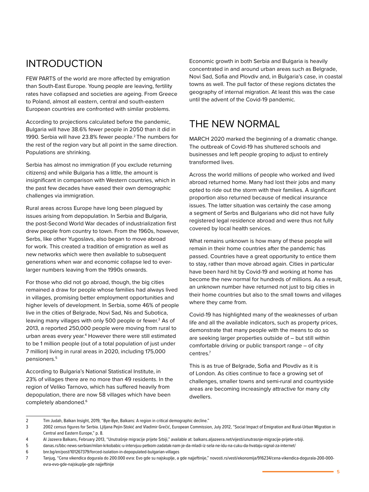#### INTRODUCTION

FEW PARTS of the world are more affected by emigration than South-East Europe. Young people are leaving, fertility rates have collapsed and societies are ageing. From Greece to Poland, almost all eastern, central and south-eastern European countries are confronted with similar problems.

According to projections calculated before the pandemic, Bulgaria will have 38.6% fewer people in 2050 than it did in 1990. Serbia will have 23.8% fewer people.<sup>2</sup> The numbers for the rest of the region vary but all point in the same direction. Populations are shrinking.

Serbia has almost no immigration (if you exclude returning citizens) and while Bulgaria has a little, the amount is insignificant in comparison with Western countries, which in the past few decades have eased their own demographic challenges via immigration.

Rural areas across Europe have long been plagued by issues arising from depopulation. In Serbia and Bulgaria, the post-Second World War decades of industrialization first drew people from country to town. From the 1960s, however, Serbs, like other Yugoslavs, also began to move abroad for work. This created a tradition of emigration as well as new networks which were then available to subsequent generations when war and economic collapse led to everlarger numbers leaving from the 1990s onwards.

For those who did not go abroad, though, the big cities remained a draw for people whose families had always lived in villages, promising better employment opportunities and higher levels of development. In Serbia, some 46% of people live in the cities of Belgrade, Novi Sad, Nis and Subotica, leaving many villages with only 500 people or fewer.<sup>3</sup> As of 2013, a reported 250,000 people were moving from rural to urban areas every year.<sup>4</sup> However there were still estimated to be 1 million people (out of a total population of just under 7 million) living in rural areas in 2020, including 175,000 pensioners.5

According to Bulgaria's National Statistical Institute, in 23% of villages there are no more than 49 residents. In the region of Veliko Tarnovo, which has suffered heavily from depopulation, there are now 58 villages which have been completely abandoned.<sup>6</sup>

Economic growth in both Serbia and Bulgaria is heavily concentrated in and around urban areas such as Belgrade, Novi Sad, Sofia and Plovdiv and, in Bulgaria's case, in coastal towns as well. The pull factor of these regions dictates the geography of internal migration. At least this was the case until the advent of the Covid-19 pandemic.

#### THE NEW NORMAL

MARCH 2020 marked the beginning of a dramatic change. The outbreak of Covid-19 has shuttered schools and businesses and left people groping to adjust to entirely transformed lives.

Across the world millions of people who worked and lived abroad returned home. Many had lost their jobs and many opted to ride out the storm with their families. A significant proportion also returned because of medical insurance issues. The latter situation was certainly the case among a segment of Serbs and Bulgarians who did not have fully registered legal residence abroad and were thus not fully covered by local health services.

What remains unknown is how many of these people will remain in their home countries after the pandemic has passed. Countries have a great opportunity to entice them to stay, rather than move abroad again. Cities in particular have been hard hit by Covid-19 and working at home has become the new normal for hundreds of millions. As a result, an unknown number have returned not just to big cities in their home countries but also to the small towns and villages where they came from.

Covid-19 has highlighted many of the weaknesses of urban life and all the available indicators, such as property prices, demonstrate that many people with the means to do so are seeking larger properties outside of – but still within comfortable driving or public transport range – of city centres.7

This is as true of Belgrade, Sofia and Plovdiv as it is of London. As cities continue to face a growing set of challenges, smaller towns and semi-rural and countryside areas are becoming increasingly attractive for many city dwellers.

<sup>2</sup> Tim Judah, Balkan Insight, 2019, "Bye-Bye, Balkans: A region in critical demographic decline."

<sup>3 2002</sup> census figures for Serbia. Ljiljana Pejin-Stokić and Vladimir Grečić, European Commission, July 2012, "Social Impact of Emigration and Rural-Urban Migration in Central and Eastern Europe," p. 8.

<sup>4</sup> Al Jazeera Balkans, February 2013, "Unutrašnje migracije prijete Srbiji," available at: balkans.aljazeera.net/vijesti/unutrasnje-migracije-prijete-srbiji.

<sup>5</sup> danas.rs/bbc-news-serbian/milan-krkobabic-u-intervjuu-petkom-zadatak-nam-je-da-mladi-iz-sela-ne-idu-na-cuku-da-hvataju-signal-za-internet/

<sup>6</sup> bnr.bg/en/post/101267379/forced-isolation-in-depopulated-bulgarian-villages

<sup>7</sup> Tanjug, "Cena vikendica dogurala do 200.000 evra: Evo gde su najskuplje, a gde najjeftinije," novosti.rs/vesti/ekonomija/916234/cena-vikendica-dogurala-200-000 evra-evo-gde-najskuplje-gde najjeftinije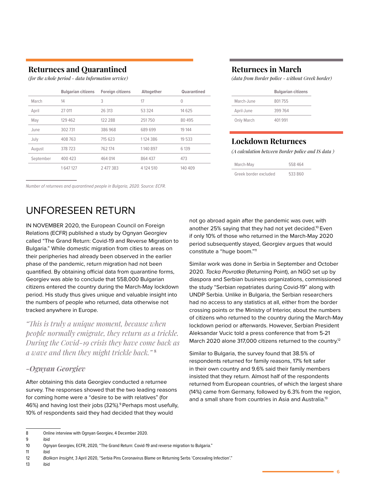#### **Returnees and Quarantined Returnees in March**

|           | <b>Bulgarian citizens</b> | <b>Foreign citizens</b> | Altogether | <b>Quarantined</b> |
|-----------|---------------------------|-------------------------|------------|--------------------|
| March     | 14                        | 3                       | 17         | $\mathbf{0}$       |
| April     | 27 011                    | 26 313                  | 53 3 24    | 14 6 25            |
| May       | 129 462                   | 122 288                 | 251750     | 80 495             |
| June      | 302 731                   | 386 968                 | 689 699    | 19 144             |
| July      | 408 763                   | 715 623                 | 1124 386   | 19 533             |
| August    | 378723                    | 762 174                 | 1140897    | 6 1 3 9            |
| September | 400 423                   | 464 014                 | 864 437    | 473                |
|           | 1647127                   | 2 477 383               | 4 124 510  | 140 409            |

*Number of returnees and quarantined people in Bulgaria, 2020. Source: ECFR.*

#### UNFORESEEN RETURN

IN NOVEMBER 2020, the European Council on Foreign Relations (ECFR) published a study by Ognyan Georgiev called "The Grand Return: Covid-19 and Reverse Migration to Bulgaria." While domestic migration from cities to areas on their peripheries had already been observed in the earlier phase of the pandemic, return migration had not been quantified. By obtaining official data from quarantine forms, Georgiev was able to conclude that 558,000 Bulgarian citizens entered the country during the March-May lockdown period. His study thus gives unique and valuable insight into the numbers of people who returned, data otherwise not tracked anywhere in Europe.

*"This is truly a unique moment, because when people normally emigrate, they return as a trickle. During the Covid-19 crisis they have come back as a wave and then they might trickle back."* **<sup>8</sup>**

#### *-Ognyan Georgiev*

After obtaining this data Georgiev conducted a returnee survey. The responses showed that the two leading reasons for coming home were a "desire to be with relatives" (for 46%) and having lost their jobs (32%).<sup>9</sup> Perhaps most usefully, 10% of respondents said they had decided that they would

*(for the whole period - data Information service) (data from Border police - without Greek border)*

|            | <b>Bulgarian citizens</b> |
|------------|---------------------------|
| March-June | 801755                    |
| April-June | 399764                    |
| Only March | 401991                    |

#### **Lockdown Returnees**

*(A calculation between Border police and IS data )*

| March-May             | 558 464 |
|-----------------------|---------|
| Greek border excluded | 533 860 |

not go abroad again after the pandemic was over, with another 25% saying that they had not yet decided.<sup>10</sup> Even if only 10% of those who returned in the March-May 2020 period subsequently stayed, Georgiev argues that would constitute a "huge boom."11

Similar work was done in Serbia in September and October 2020. *Tacka Povratka* (Returning Point), an NGO set up by diaspora and Serbian business organizations, commissioned the study "Serbian repatriates during Covid-19" along with UNDP Serbia. Unlike in Bulgaria, the Serbian researchers had no access to any statistics at all, either from the border crossing points or the Ministry of Interior, about the numbers of citizens who returned to the country during the March-May lockdown period or afterwards. However, Serbian President Aleksandar Vucic told a press conference that from 5-21 March 2020 alone 317,000 citizens returned to the country.<sup>12</sup>

Similar to Bulgaria, the survey found that 38.5% of respondents returned for family reasons, 17% felt safer in their own country and 9.6% said their family members insisted that they return. Almost half of the respondents returned from European countries, of which the largest share (14%) came from Germany, followed by 6.3% from the region, and a small share from countries in Asia and Australia.<sup>13</sup>

13 ibid

<sup>8</sup> Online interview with Ognyan Georgiev, 4 December 2020.

<sup>9</sup> ibid

<sup>10</sup> Ognyan Georgiev, ECFR, 2020, "The Grand Return: Covid-19 and reverse migration to Bulgaria."

<sup>11</sup> ibid

<sup>12</sup> *Balkan Insight*, 3 April 2020, "Serbia Pins Coronavirus Blame on Returning Serbs 'Concealing Infection'."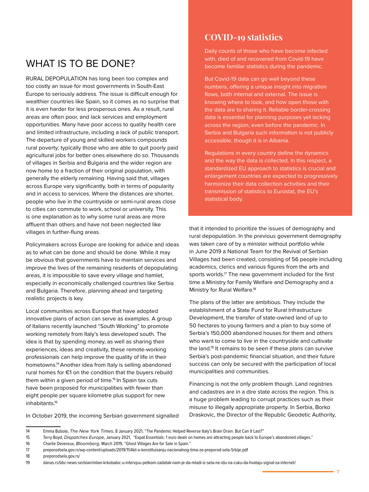# WHAT IS TO BE DONE?

RURAL DEPOPULATION has long been too complex and too costly an issue for most governments in South-East Europe to seriously address. The issue is difficult enough for wealthier countries like Spain, so it comes as no surprise that it is even harder for less prosperous ones. As a result, rural areas are often poor, and lack services and employment opportunities. Many have poor access to quality health care and limited infrastructure, including a lack of public transport. The departure of young and skilled workers compounds rural poverty; typically those who are able to quit poorly paid agricultural jobs for better ones elsewhere do so. Thousands of villages in Serbia and Bulgaria and the wider region are now home to a fraction of their original population, with generally the elderly remaining. Having said that, villages across Europe vary significantly, both in terms of popularity and in access to services. Where the distances are shorter, people who live in the countryside or semi-rural areas close to cities can commute to work, school or university. This is one explanation as to why some rural areas are more affluent than others and have not been neglected like villages in further-flung areas.

Policymakers across Europe are looking for advice and ideas as to what can be done and should be done. While it may be obvious that governments have to maintain services and improve the lives of the remaining residents of depopulating areas, it is impossible to save every village and hamlet, especially in economically challenged countries like Serbia and Bulgaria. Therefore, planning ahead and targeting realistic projects is key.

Local communities across Europe that have adopted innovative plans of action can serve as examples. A group of Italians recently launched "South Working" to promote working remotely from Italy's less developed south. The idea is that by spending money, as well as sharing their experiences, ideas and creativity, these remote-working professionals can help improve the quality of life in their hometowns.14 Another idea from Italy is selling abandoned rural homes for €1 on the condition that the buyers rebuild them within a given period of time.<sup>15</sup> In Spain tax cuts have been proposed for municipalities with fewer than eight people per square kilometre plus support for new inhabitants.16

In October 2019, the incoming Serbian government signalled

#### **COVID-19 statistics**

Daily counts of those who have become infected with, died of and recovered from Covid-19 have become familiar statistics during the pandemic.

But Covid-19 data can go well beyond these numbers, offering a unique insight into migration flows, both internal and external. The issue is knowing where to look, and how open those with the data are to sharing it. Reliable border-crossing data is essential for planning purposes yet lacking across the region, even before the pandemic. In Serbia and Bulgaria such information is not publicly accessible, though it is in Albania.

Regulations in every country define the dynamics and the way the data is collected. In this respect, a standardized EU approach to statistics is crucial and enlargement countries are expected to progressively harmonize their data collection activities and their transmission of statistics to Eurostat, the EU's statistical body.

that it intended to prioritize the issues of demography and rural depopulation. In the previous government demography was taken care of by a minister without portfolio while in June 2019 a National Team for the Revival of Serbian Villages had been created, consisting of 56 people including academics, clerics and various figures from the arts and sports worlds.<sup>17</sup> The new government included for the first time a Ministry for Family Welfare and Demography and a Ministry for Rural Welfare.<sup>18</sup>

The plans of the latter are ambitious. They include the establishment of a State Fund for Rural Infrastructure Development, the transfer of state-owned land of up to 50 hectares to young farmers and a plan to buy some of Serbia's 150,000 abandoned houses for them and others who want to come to live in the countryside and cultivate the land.<sup>19</sup> It remains to be seen if these plans can survive Serbia's post-pandemic financial situation, and their future success can only be secured with the participation of local municipalities and communities.

Financing is not the only problem though. Land registries and cadastres are in a dire state across the region. This is a huge problem leading to corrupt practices such as their misuse to illegally appropriate property. In Serbia, Borko Draskovic, the Director of the Republic Geodetic Authority,

<sup>14</sup> Emma Bubola, *The New York Times*, 8 January 2021, "The Pandemic Helped Reverse Italy's Brain Drain. But Can It Last?"

<sup>15</sup> Terry Boyd, *Dispatches Europe*, January 2021, "Expat Essentials: 1 euro deals on homes are attracting people back to Europe's abandoned villages."

<sup>16</sup> Charlie Devereux, *Bloomberg*, March 2019, "Ghost Villages Are for Sale in Spain."

<sup>17</sup> preporodsela.gov.rs/wp-content/uploads/2019/11/Akt-o-konstituisanju-nacionalnog-tima-za-preporod-sela-Srbije.pdf

<sup>18</sup> preporodsela.gov.rs/

<sup>19</sup> danas.rs/bbc-news-serbian/milan-krkobabic-u-intervjuu-petkom-zadatak-nam-je-da-mladi-iz-sela-ne-idu-na-cuku-da-hvataju-signal-za-internet/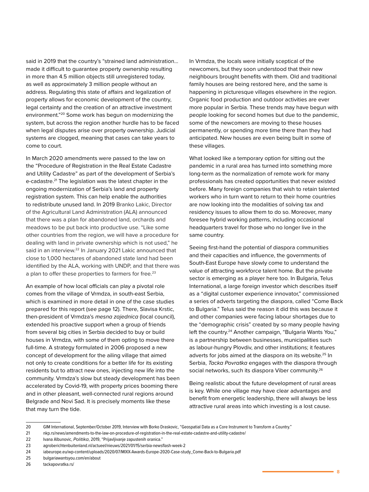said in 2019 that the country's "strained land administration… made it difficult to guarantee property ownership resulting in more than 4.5 million objects still unregistered today, as well as approximately 3 million people without an address. Regulating this state of affairs and legalization of property allows for economic development of the country, legal certainty and the creation of an attractive investment environment."20 Some work has begun on modernizing the system, but across the region another hurdle has to be faced when legal disputes arise over property ownership. Judicial systems are clogged, meaning that cases can take years to come to court.

In March 2020 amendments were passed to the law on the "Procedure of Registration in the Real Estate Cadastre and Utility Cadastre" as part of the development of Serbia's e-cadastre.<sup>21</sup> The legislation was the latest chapter in the ongoing modernization of Serbia's land and property registration system. This can help enable the authorities to redistribute unused land. In 2019 Branko Lakic, Director of the Agricultural Land Administration (ALA) announced that there was a plan for abandoned land, orchards and meadows to be put back into productive use. "Like some other countries from the region, we will have a procedure for dealing with land in private ownership which is not used," he said in an interview.<sup>22</sup> In January 2021 Lakic announced that close to 1,000 hectares of abandoned state land had been identified by the ALA, working with UNDP, and that there was a plan to offer these properties to farmers for free.<sup>23</sup>

An example of how local officials can play a pivotal role comes from the village of Vrmdza, in south-east Serbia, which is examined in more detail in one of the case studies prepared for this report (see page 12). There, Slavisa Krstic, then-president of Vrmdza's *mesna zajednica* (local council), extended his proactive support when a group of friends from several big cities in Serbia decided to buy or build houses in Vrmdza, with some of them opting to move there full-time. A strategy formulated in 2006 proposed a new concept of development for the ailing village that aimed not only to create conditions for a better life for its existing residents but to attract new ones, injecting new life into the community. Vrmdza's slow but steady development has been accelerated by Covid-19, with property prices booming there and in other pleasant, well-connected rural regions around Belgrade and Novi Sad. It is precisely moments like these that may turn the tide.

In Vrmdza, the locals were initially sceptical of the newcomers, but they soon understood that their new neighbours brought benefits with them. Old and traditional family houses are being restored here, and the same is happening in picturesque villages elsewhere in the region. Organic food production and outdoor activities are ever more popular in Serbia. These trends may have begun with people looking for second homes but due to the pandemic, some of the newcomers are moving to these houses permanently, or spending more time there than they had anticipated. New houses are even being built in some of these villages.

What looked like a temporary option for sitting out the pandemic in a rural area has turned into something more long-term as the normalization of remote work for many professionals has created opportunities that never existed before. Many foreign companies that wish to retain talented workers who in turn want to return to their home countries are now looking into the modalities of solving tax and residency issues to allow them to do so. Moreover, many foresee hybrid working patterns, including occasional headquarters travel for those who no longer live in the same country.

Seeing first-hand the potential of diaspora communities and their capacities and influence, the governments of South-East Europe have slowly come to understand the value of attracting workforce talent home. But the private sector is emerging as a player here too. In Bulgaria, Telus International, a large foreign investor which describes itself as a "digital customer experience innovator," commissioned a series of adverts targeting the diaspora, called "Come Back to Bulgaria." Telus said the reason it did this was because it and other companies were facing labour shortages due to the "demographic crisis" created by so many people having left the country.<sup>24</sup> Another campaign, "Bulgaria Wants You," is a partnership between businesses, municipalities such as labour-hungry Plovdiv, and other institutions; it features adverts for jobs aimed at the diaspora on its website.<sup>25</sup> In Serbia, *Tacka Povratka* engages with the diaspora through social networks, such its diaspora Viber community.<sup>26</sup>

Being realistic about the future development of rural areas is key. While one village may have clear advantages and benefit from energetic leadership, there will always be less attractive rural areas into which investing is a lost cause.

<sup>20</sup> GIM International, September/October 2019, Interview with Borko Draskovic, "Geospatial Data as a Core Instrument to Transform a Country."

<sup>21</sup> nkp.rs/news/amendments-to-the-law-on-procedure-of-registration-in-the-real-estate-cadastre-and-utility-cadastre/

<sup>22</sup> Ivana Albunovic, *Politika*, 2019, "Prijavljivanje zapustenih oranica."

<sup>23</sup> agroberichtenbuitenland.nl/actueel/nieuws/2021/01/15/serbia-newsflash-week-2

<sup>24</sup> iabeurope.eu/wp-content/uploads/2020/07/MIXX-Awards-Europe-2020-Case-study\_Come-Back-to-Bulgaria.pdf

<sup>25</sup> bulgariawantsyou.com/en/about

<sup>26</sup> tackapovratka.rs/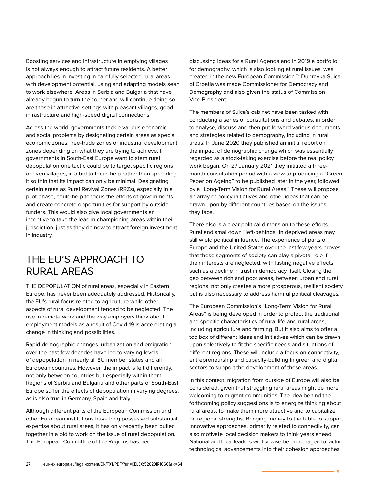Boosting services and infrastructure in emptying villages is not always enough to attract future residents. A better approach lies in investing in carefully selected rural areas with development potential, using and adapting models seen to work elsewhere. Areas in Serbia and Bulgaria that have already begun to turn the corner and will continue doing so are those in attractive settings with pleasant villages, good infrastructure and high-speed digital connections.

Across the world, governments tackle various economic and social problems by designating certain areas as special economic zones, free-trade zones or industrial development zones depending on what they are trying to achieve. If governments in South-East Europe want to stem rural depopulation one tactic could be to target specific regions or even villages, in a bid to focus help rather than spreading it so thin that its impact can only be minimal. Designating certain areas as Rural Revival Zones (RRZs), especially in a pilot phase, could help to focus the efforts of governments, and create concrete opportunities for support by outside funders. This would also give local governments an incentive to take the lead in championing areas within their jurisdiction, just as they do now to attract foreign investment in industry.

### THE EU'S APPROACH TO RURAL AREAS

THE DEPOPULATION of rural areas, especially in Eastern Europe, has never been adequately addressed. Historically, the EU's rural focus related to agriculture while other aspects of rural development tended to be neglected. The rise in remote work and the way employers think about employment models as a result of Covid-19 is accelerating a change in thinking and possibilities.

Rapid demographic changes, urbanization and emigration over the past few decades have led to varying levels of depopulation in nearly all EU member states and all European countries. However, the impact is felt differently, not only between countries but especially within them. Regions of Serbia and Bulgaria and other parts of South-East Europe suffer the effects of depopulation in varying degrees, as is also true in Germany, Spain and Italy.

Although different parts of the European Commission and other European institutions have long possessed substantial expertise about rural areas, it has only recently been pulled together in a bid to work on the issue of rural depopulation. The European Committee of the Regions has been

discussing ideas for a Rural Agenda and in 2019 a portfolio for demography, which is also looking at rural issues, was created in the new European Commission.27 Dubravka Suica of Croatia was made Commissioner for Democracy and Demography and also given the status of Commission Vice President.

The members of Suica's cabinet have been tasked with conducting a series of consultations and debates, in order to analyse, discuss and then put forward various documents and strategies related to demography, including in rural areas. In June 2020 they published an initial report on the impact of demographic change which was essentially regarded as a stock-taking exercise before the real policy work began. On 27 January 2021 they initiated a threemonth consultation period with a view to producing a "Green Paper on Ageing" to be published later in the year, followed by a "Long-Term Vision for Rural Areas." These will propose an array of policy initiatives and other ideas that can be drawn upon by different countries based on the issues they face.

There also is a clear political dimension to these efforts. Rural and small-town "left-behinds" in deprived areas may still wield political influence. The experience of parts of Europe and the United States over the last few years proves that these segments of society can play a pivotal role if their interests are neglected, with lasting negative effects such as a decline in trust in democracy itself. Closing the gap between rich and poor areas, between urban and rural regions, not only creates a more prosperous, resilient society but is also necessary to address harmful political cleavages.

The European Commission's "Long-Term Vision for Rural Areas" is being developed in order to protect the traditional and specific characteristics of rural life and rural areas, including agriculture and farming. But it also aims to offer a toolbox of different ideas and initiatives which can be drawn upon selectively to fit the specific needs and situations of different regions. These will include a focus on connectivity, entrepreneurship and capacity-building in green and digital sectors to support the development of these areas.

In this context, migration from outside of Europe will also be considered, given that struggling rural areas might be more welcoming to migrant communities. The idea behind the forthcoming policy suggestions is to energize thinking about rural areas, to make them more attractive and to capitalize on regional strengths. Bringing money to the table to support innovative approaches, primarily related to connectivity, can also motivate local decision makers to think years ahead. National and local leaders will likewise be encouraged to factor technological advancements into their cohesion approaches.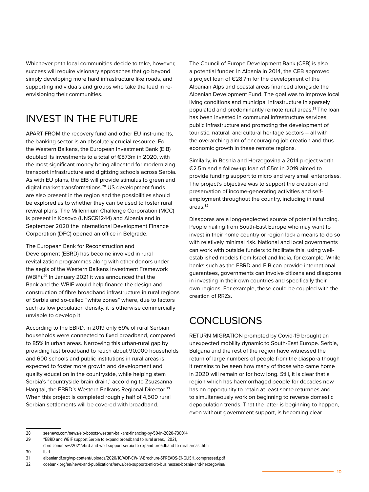Whichever path local communities decide to take, however, success will require visionary approaches that go beyond simply developing more hard infrastructure like roads, and supporting individuals and groups who take the lead in reenvisioning their communities.

# INVEST IN THE FUTURE

APART FROM the recovery fund and other EU instruments, the banking sector is an absolutely crucial resource. For the Western Balkans, the European Investment Bank (EIB) doubled its investments to a total of €873m in 2020, with the most significant money being allocated for modernizing transport infrastructure and digitizing schools across Serbia. As with EU plans, the EIB will provide stimulus to green and digital market transformations.28 US development funds are also present in the region and the possibilities should be explored as to whether they can be used to foster rural revival plans. The Millennium Challenge Corporation (MCC) is present in Kosovo (UNSCR1244) and Albania and in September 2020 the International Development Finance Corporation (DFC) opened an office in Belgrade.

The European Bank for Reconstruction and Development (EBRD) has become involved in rural revitalization programmes along with other donors under the aegis of the Western Balkans Investment Framework (WBIF).29 In January 2021 it was announced that the Bank and the WBIF would help finance the design and construction of fibre broadband infrastructure in rural regions of Serbia and so-called "white zones" where, due to factors such as low population density, it is otherwise commercially unviable to develop it.

According to the EBRD, in 2019 only 69% of rural Serbian households were connected to fixed broadband, compared to 85% in urban areas. Narrowing this urban-rural gap by providing fast broadband to reach about 90,000 households and 600 schools and public institutions in rural areas is expected to foster more growth and development and quality education in the countryside, while helping stem Serbia's "countryside brain drain," according to Zsuzsanna Hargitai, the EBRD's Western Balkans Regional Director.<sup>30</sup> When this project is completed roughly half of 4,500 rural Serbian settlements will be covered with broadband.

The Council of Europe Development Bank (CEB) is also a potential funder. In Albania in 2014, the CEB approved a project loan of €28.7m for the development of the Albanian Alps and coastal areas financed alongside the Albanian Development Fund. The goal was to improve local living conditions and municipal infrastructure in sparsely populated and predominantly remote rural areas.<sup>31</sup> The loan has been invested in communal infrastructure services, public infrastructure and promoting the development of touristic, natural, and cultural heritage sectors – all with the overarching aim of encouraging job creation and thus economic growth in these remote regions.

Similarly, in Bosnia and Herzegovina a 2014 project worth €2.5m and a follow-up loan of €5m in 2019 aimed to provide funding support to micro and very small enterprises. The project's objective was to support the creation and preservation of income-generating activities and selfemployment throughout the country, including in rural areas.<sup>32</sup>

Diasporas are a long-neglected source of potential funding. People hailing from South-East Europe who may want to invest in their home country or region lack a means to do so with relatively minimal risk. National and local governments can work with outside funders to facilitate this, using wellestablished models from Israel and India, for example. While banks such as the EBRD and EIB can provide international guarantees, governments can involve citizens and diasporas in investing in their own countries and specifically their own regions. For example, these could be coupled with the creation of RRZs.

### **CONCLUSIONS**

RETURN MIGRATION prompted by Covid-19 brought an unexpected mobility dynamic to South-East Europe. Serbia, Bulgaria and the rest of the region have witnessed the return of large numbers of people from the diaspora though it remains to be seen how many of those who came home in 2020 will remain or for how long. Still, it is clear that a region which has haemorrhaged people for decades now has an opportunity to retain at least some returnees and to simultaneously work on beginning to reverse domestic depopulation trends. That the latter is beginning to happen, even without government support, is becoming clear

<sup>28</sup> seenews.com/news/eib-boosts-western-balkans-financing-by-50-in-2020-730014

<sup>29 &</sup>quot;EBRD and WBIF support Serbia to expand broadband to rural areas," 2021,

ebrd.com/news/2021/ebrd-and-wbif-support-serbia-to-expand-broadband-to-rural-areas-.html 30 Ibid

<sup>31</sup> albaniandf.org/wp-content/uploads/2020/10/ADF-CW-IV-Brochure-SPREADS-ENGLISH\_compressed.pdf

<sup>32</sup> coebank.org/en/news-and-publications/news/ceb-supports-micro-businesses-bosnia-and-herzegovina/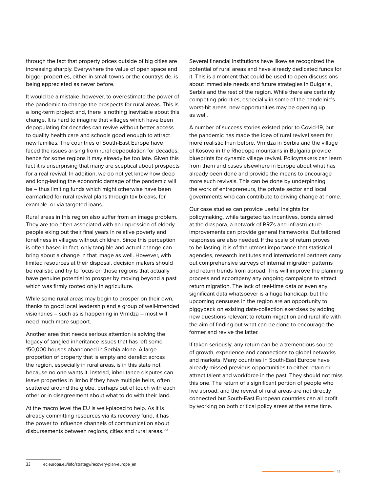through the fact that property prices outside of big cities are increasing sharply. Everywhere the value of open space and bigger properties, either in small towns or the countryside, is being appreciated as never before.

It would be a mistake, however, to overestimate the power of the pandemic to change the prospects for rural areas. This is a long-term project and, there is nothing inevitable about this change. It is hard to imagine that villages which have been depopulating for decades can revive without better access to quality health care and schools good enough to attract new families. The countries of South-East Europe have faced the issues arising from rural depopulation for decades, hence for some regions it may already be too late. Given this fact it is unsurprising that many are sceptical about prospects for a real revival. In addition, we do not yet know how deep and long-lasting the economic damage of the pandemic will be – thus limiting funds which might otherwise have been earmarked for rural revival plans through tax breaks, for example, or via targeted loans.

Rural areas in this region also suffer from an image problem. They are too often associated with an impression of elderly people eking out their final years in relative poverty and loneliness in villages without children. Since this perception is often based in fact, only tangible and actual change can bring about a change in that image as well. However, with limited resources at their disposal, decision makers should be realistic and try to focus on those regions that actually have genuine potential to prosper by moving beyond a past which was firmly rooted only in agriculture.

While some rural areas may begin to prosper on their own, thanks to good local leadership and a group of well-intended visionaries – such as is happening in Vrmdza – most will need much more support.

Another area that needs serious attention is solving the legacy of tangled inheritance issues that has left some 150,000 houses abandoned in Serbia alone. A large proportion of property that is empty and derelict across the region, especially in rural areas, is in this state not because no one wants it. Instead, inheritance disputes can leave properties in limbo if they have multiple heirs, often scattered around the globe, perhaps out of touch with each other or in disagreement about what to do with their land.

At the macro level the EU is well-placed to help. As it is already committing resources via its recovery fund, it has the power to influence channels of communication about disbursements between regions, cities and rural areas. 33

Several financial institutions have likewise recognized the potential of rural areas and have already dedicated funds for it. This is a moment that could be used to open discussions about immediate needs and future strategies in Bulgaria, Serbia and the rest of the region. While there are certainly competing priorities, especially in some of the pandemic's worst-hit areas, new opportunities may be opening up as well.

A number of success stories existed prior to Covid-19, but the pandemic has made the idea of rural revival seem far more realistic than before. Vrmdza in Serbia and the village of Kosovo in the Rhodope mountains in Bulgaria provide blueprints for dynamic village revival. Policymakers can learn from them and cases elsewhere in Europe about what has already been done and provide the means to encourage more such revivals. This can be done by underpinning the work of entrepreneurs, the private sector and local governments who can contribute to driving change at home.

Our case studies can provide useful insights for policymaking, while targeted tax incentives, bonds aimed at the diaspora, a network of RRZs and infrastructure improvements can provide general frameworks. But tailored responses are also needed. If the scale of return proves to be lasting, it is of the utmost importance that statistical agencies, research institutes and international partners carry out comprehensive surveys of internal migration patterns and return trends from abroad. This will improve the planning process and accompany any ongoing campaigns to attract return migration. The lack of real-time data or even any significant data whatsoever is a huge handicap, but the upcoming censuses in the region are an opportunity to piggyback on existing data-collection exercises by adding new questions relevant to return migration and rural life with the aim of finding out what can be done to encourage the former and revive the latter.

If taken seriously, any return can be a tremendous source of growth, experience and connections to global networks and markets. Many countries in South-East Europe have already missed previous opportunities to either retain or attract talent and workforce in the past. They should not miss this one. The return of a significant portion of people who live abroad, and the revival of rural areas are not directly connected but South-East European countries can all profit by working on both critical policy areas at the same time.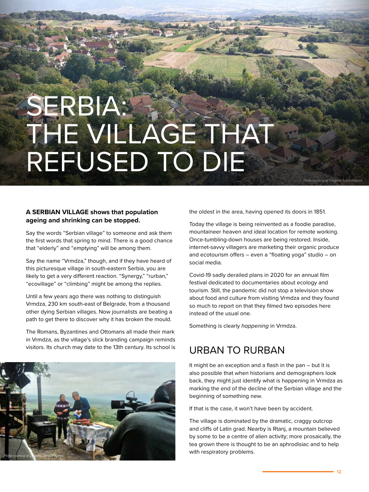# SERBIA: THE VILLAGE THAT REFUSED TO DIE

#### **A SERBIAN VILLAGE shows that population ageing and shrinking can be stopped.**

Say the words "Serbian village" to someone and ask them the first words that spring to mind. There is a good chance that "elderly" and "emptying" will be among them.

Say the name "Vrmdza," though, and if they have heard of this picturesque village in south-eastern Serbia, you are likely to get a very different reaction. "Synergy," "rurban," "ecovillage" or "climbing" might be among the replies.

Until a few years ago there was nothing to distinguish Vrmdza, 230 km south-east of Belgrade, from a thousand other dying Serbian villages. Now journalists are beating a path to get there to discover why it has broken the mould.

The Romans, Byzantines and Ottomans all made their mark in Vrmdza, as the village's slick branding campaign reminds visitors. Its church may date to the 13th century. Its school is



the oldest in the area, having opened its doors in 1851.

Today the village is being reinvented as a foodie paradise, mountaineer heaven and ideal location for remote working. Once-tumbling-down houses are being restored. Inside, internet-savvy villagers are marketing their organic produce and ecotourism offers – even a "floating yoga" studio – on social media.

Covid-19 sadly derailed plans in 2020 for an annual film festival dedicated to documentaries about ecology and tourism. Still, the pandemic did not stop a television show about food and culture from visiting Vrmdza and they found so much to report on that they filmed two episodes here instead of the usual one.

Something is clearly *happening* in Vrmdza.

#### URBAN TO RURBAN

It might be an exception and a flash in the pan – but it is also possible that when historians and demographers look back, they might just identify what is happening in Vrmdza as marking the end of the decline of the Serbian village and the beginning of something new.

If that is the case, it won't have been by accident.

The village is dominated by the dramatic, craggy outcrop and cliffs of Latin grad. Nearby is Rtanj, a mountain believed by some to be a centre of alien activity; more prosaically, the tea grown there is thought to be an aphrodisiac and to help with respiratory problems.

*Photo courtesy of Dragana Tomic Pilipovic*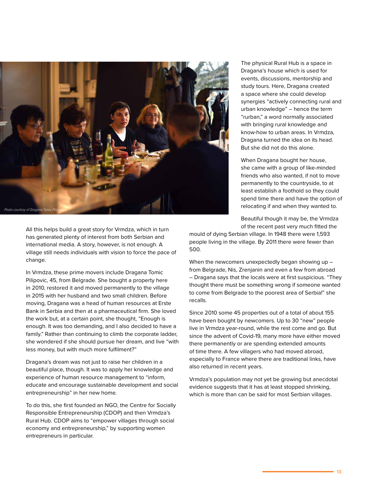

All this helps build a great story for Vrmdza, which in turn has generated plenty of interest from both Serbian and international media. A story, however, is not enough. A village still needs individuals with vision to force the pace of change.

In Vrmdza, these prime movers include Dragana Tomic Pilipovic, 45, from Belgrade. She bought a property here in 2010, restored it and moved permanently to the village in 2015 with her husband and two small children. Before moving, Dragana was a head of human resources at Erste Bank in Serbia and then at a pharmaceutical firm. She loved the work but, at a certain point, she thought, "Enough is enough. It was too demanding, and I also decided to have a family." Rather than continuing to climb the corporate ladder, she wondered if she should pursue her dream, and live "with less money, but with much more fulfilment?"

Dragana's dream was not just to raise her children in a beautiful place, though. It was to apply her knowledge and experience of human resource management to "inform, educate and encourage sustainable development and social entrepreneurship" in her new home.

To do this, she first founded an NGO, the Centre for Socially Responsible Entrepreneurship (CDOP) and then Vrmdza's Rural Hub. CDOP aims to "empower villages through social economy and entrepreneurship," by supporting women entrepreneurs in particular.

The physical Rural Hub is a space in Dragana's house which is used for events, discussions, mentorship and study tours. Here, Dragana created a space where she could develop synergies "actively connecting rural and urban knowledge" – hence the term "rurban," a word normally associated with bringing rural knowledge and know-how to urban areas. In Vrmdza, Dragana turned the idea on its head. But she did not do this alone.

When Dragana bought her house, she came with a group of like-minded friends who also wanted, if not to move permanently to the countryside, to at least establish a foothold so they could spend time there and have the option of relocating if and when they wanted to.

Beautiful though it may be, the Vrmdza of the recent past very much fitted the

mould of dying Serbian village. In 1948 there were 1,593 people living in the village. By 2011 there were fewer than 500.

When the newcomers unexpectedly began showing up from Belgrade, Nis, Zrenjanin and even a few from abroad – Dragana says that the locals were at first suspicious. "They thought there must be something wrong if someone wanted to come from Belgrade to the poorest area of Serbia!" she recalls.

Since 2010 some 45 properties out of a total of about 155 have been bought by newcomers. Up to 30 "new" people live in Vrmdza year-round, while the rest come and go. But since the advent of Covid-19, many more have either moved there permanently or are spending extended amounts of time there. A few villagers who had moved abroad, especially to France where there are traditional links, have also returned in recent years.

Vrmdza's population may not yet be growing but anecdotal evidence suggests that it has at least stopped shrinking, which is more than can be said for most Serbian villages.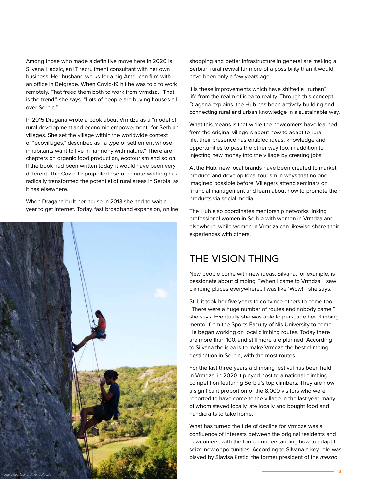Among those who made a definitive move here in 2020 is Silvana Hadzic, an IT recruitment consultant with her own business. Her husband works for a big American firm with an office in Belgrade. When Covid-19 hit he was told to work remotely. That freed them both to work from Vrmdza. "That is the trend," she says. "Lots of people are buying houses all over Serbia."

In 2015 Dragana wrote a book about Vrmdza as a "model of rural development and economic empowerment" for Serbian villages. She set the village within the worldwide context of "ecovillages," described as "a type of settlement whose inhabitants want to live in harmony with nature." There are chapters on organic food production, ecotourism and so on. If the book had been written today, it would have been very different. The Covid-19-propelled rise of remote working has radically transformed the potential of rural areas in Serbia, as it has elsewhere.

When Dragana built her house in 2013 she had to wait a year to get internet. Today, fast broadband expansion, online



shopping and better infrastructure in general are making a Serbian rural revival far more of a possibility than it would have been only a few years ago.

It is these improvements which have shifted a "rurban" life from the realm of idea to reality. Through this concept, Dragana explains, the Hub has been actively building and connecting rural and urban knowledge in a sustainable way.

What this means is that while the newcomers have learned from the original villagers about how to adapt to rural life, their presence has enabled ideas, knowledge and opportunities to pass the other way too, in addition to injecting new money into the village by creating jobs.

At the Hub, new local brands have been created to market produce and develop local tourism in ways that no one imagined possible before. Villagers attend seminars on financial management and learn about how to promote their products via social media.

The Hub also coordinates mentorship networks linking professional women in Serbia with women in Vrmdza and elsewhere, while women in Vrmdza can likewise share their experiences with others.

### THE VISION THING

New people come with new ideas. Silvana, for example, is passionate about climbing. "When I came to Vrmdza, I saw climbing places everywhere…I was like 'Wow!'" she says.

Still, it took her five years to convince others to come too. "There were a huge number of routes and nobody came!" she says. Eventually she was able to persuade her climbing mentor from the Sports Faculty of Nis University to come. He began working on local climbing routes. Today there are more than 100, and still more are planned. According to Silvana the idea is to make Vrmdza the best climbing destination in Serbia, with the most routes.

For the last three years a climbing festival has been held in Vrmdza; in 2020 it played host to a national climbing competition featuring Serbia's top climbers. They are now a significant proportion of the 8,000 visitors who were reported to have come to the village in the last year, many of whom stayed locally, ate locally and bought food and handicrafts to take home.

What has turned the tide of decline for Vrmdza was a confluence of interests between the original residents and newcomers, with the former understanding how to adapt to seize new opportunities. According to Silvana a key role was played by Slavisa Krstic, the former president of the *mesna*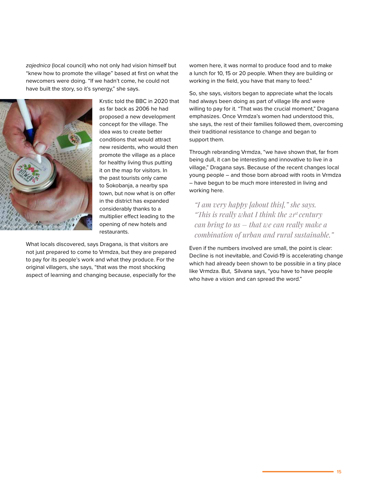*zajednica* (local council) who not only had vision himself but "knew how to promote the village" based at first on what the newcomers were doing. "If we hadn't come, he could not have built the story, so it's synergy," she says.



Krstic told the BBC in 2020 that as far back as 2006 he had proposed a new development concept for the village. The idea was to create better conditions that would attract new residents, who would then promote the village as a place for healthy living thus putting it on the map for visitors. In the past tourists only came to Sokobanja, a nearby spa town, but now what is on offer in the district has expanded considerably thanks to a multiplier effect leading to the opening of new hotels and restaurants.

What locals discovered, says Dragana, is that visitors are not just prepared to come to Vrmdza, but they are prepared to pay for its people's work and what they produce. For the original villagers, she says, "that was the most shocking aspect of learning and changing because, especially for the

women here, it was normal to produce food and to make a lunch for 10, 15 or 20 people. When they are building or working in the field, you have that many to feed."

So, she says, visitors began to appreciate what the locals had always been doing as part of village life and were willing to pay for it. "That was the crucial moment," Dragana emphasizes. Once Vrmdza's women had understood this, she says, the rest of their families followed them, overcoming their traditional resistance to change and began to support them.

Through rebranding Vrmdza, "we have shown that, far from being dull, it can be interesting and innovative to live in a village," Dragana says. Because of the recent changes local young people – and those born abroad with roots in Vrmdza – have begun to be much more interested in living and working here.

*"I am very happy [about this]," she says. "This is really what I think the 21st century can bring to us – that we can really make a combination of urban and rural sustainable."*

Even if the numbers involved are small, the point is clear: Decline is not inevitable, and Covid-19 is accelerating change which had already been shown to be possible in a tiny place like Vrmdza. But, Silvana says, "you have to have people who have a vision and can spread the word."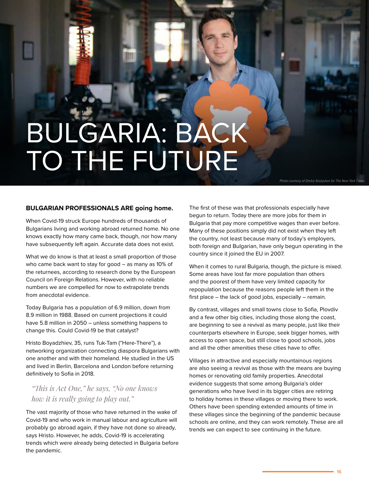# BULGARIA: BACK TO THE FUTURE

*Photo courtesy of Dmitry Kostyukov for The New York Times*

#### **BULGARIAN PROFESSIONALS ARE going home.**

When Covid-19 struck Europe hundreds of thousands of Bulgarians living and working abroad returned home. No one knows exactly how many came back, though, nor how many have subsequently left again. Accurate data does not exist.

What we do know is that at least a small proportion of those who came back want to stay for good – as many as 10% of the returnees, according to research done by the European Council on Foreign Relations. However, with no reliable numbers we are compelled for now to extrapolate trends from anecdotal evidence.

Today Bulgaria has a population of 6.9 million, down from 8.9 million in 1988. Based on current projections it could have 5.8 million in 2050 – unless something happens to change this. Could Covid-19 be that catalyst?

Hristo Boyadzhiev, 35, runs Tuk-Tam ("Here-There"), a networking organization connecting diaspora Bulgarians with one another and with their homeland. He studied in the US and lived in Berlin, Barcelona and London before returning definitively to Sofia in 2018.

#### *"This is Act One," he says, "No one knows how it is really going to play out."*

The vast majority of those who have returned in the wake of Covid-19 and who work in manual labour and agriculture will probably go abroad again, if they have not done so already, says Hristo. However, he adds, Covid-19 is accelerating trends which were already being detected in Bulgaria before the pandemic.

The first of these was that professionals especially have begun to return. Today there are more jobs for them in Bulgaria that pay more competitive wages than ever before. Many of these positions simply did not exist when they left the country, not least because many of today's employers, both foreign and Bulgarian, have only begun operating in the country since it joined the EU in 2007.

When it comes to rural Bulgaria, though, the picture is mixed. Some areas have lost far more population than others and the poorest of them have very limited capacity for repopulation because the reasons people left them in the first place – the lack of good jobs, especially – remain.

By contrast, villages and small towns close to Sofia, Plovdiv and a few other big cities, including those along the coast, are beginning to see a revival as many people, just like their counterparts elsewhere in Europe, seek bigger homes, with access to open space, but still close to good schools, jobs and all the other amenities these cities have to offer.

Villages in attractive and especially mountainous regions are also seeing a revival as those with the means are buying homes or renovating old family properties. Anecdotal evidence suggests that some among Bulgaria's older generations who have lived in its bigger cities are retiring to holiday homes in these villages or moving there to work. Others have been spending extended amounts of time in these villages since the beginning of the pandemic because schools are online, and they can work remotely. These are all trends we can expect to see continuing in the future.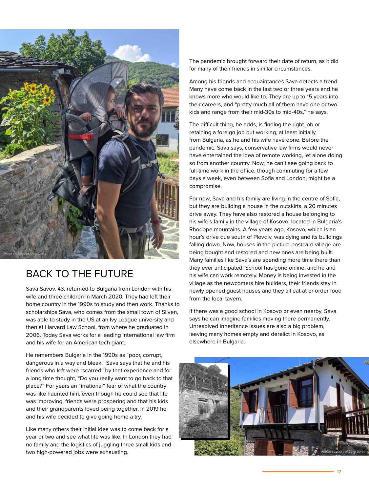

### BACK TO THE FUTURE

Sava Savov, 43, returned to Bulgaria from London with his wife and three children in March 2020. They had left their home country in the 1990s to study and then work. Thanks to scholarships Sava, who comes from the small town of Sliven, was able to study in the US at an Ivy League university and then at Harvard Law School, from where he graduated in 2006. Today Sava works for a leading international law firm and his wife for an American tech giant.

He remembers Bulgaria in the 1990s as "poor, corrupt, dangerous in a way and bleak." Sava says that he and his friends who left were "scarred" by that experience and for a long time thought, "Do you really want to go back to that place?" For years an "irrational" fear of what the country was like haunted him, even though he could see that life was improving, friends were prospering and that his kids and their grandparents loved being together. In 2019 he and his wife decided to give going home a try.

Like many others their initial idea was to come back for a year or two and see what life was like. In London they had no family and the logistics of juggling three small kids and two high-powered jobs were exhausting.

The pandemic brought forward their date of return, as it did for many of their friends in similar circumstances.

Among his friends and acquaintances Sava detects a trend. Many have come back in the last two or three years and he knows more who would like to. They are up to 15 years into their careers, and "pretty much all of them have one or two kids and range from their mid-30s to mid-40s," he says.

The difficult thing, he adds, is finding the right job or retaining a foreign job but working, at least initially, from Bulgaria, as he and his wife have done. Before the pandemic, Sava says, conservative law firms would never have entertained the idea of remote working, let alone doing so from another country. Now, he can't see going back to full-time work in the office, though commuting for a few days a week, even between Sofia and London, might be a compromise.

For now, Sava and his family are living in the centre of Sofia, but they are building a house in the outskirts, a 20 minutes drive away. They have also restored a house belonging to his wife's family in the village of Kosovo, located in Bulgaria's Rhodope mountains. A few years ago, Kosovo, which is an hour's drive due south of Plovdiv, was dying and its buildings falling down. Now, houses in the picture-postcard village are being bought and restored and new ones are being built. Many families like Sava's are spending more time there than they ever anticipated. School has gone online, and he and his wife can work remotely. Money is being invested in the village as the newcomers hire builders, their friends stay in newly opened guest houses and they all eat at or order food from the local tavern.

If there was a good school in Kosovo or even nearby, Sava says he can imagine families moving there permanently. Unresolved inheritance issues are also a big problem, leaving many homes empty and derelict in Kosovo, as elsewhere in Bulgaria.



**17**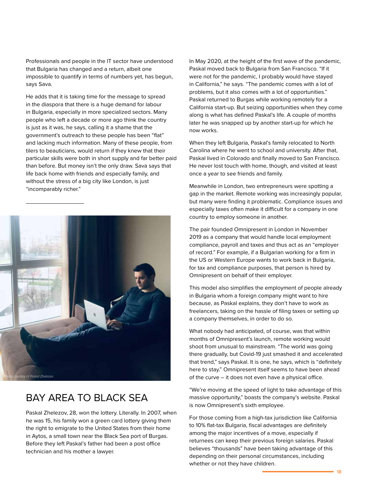Professionals and people in the IT sector have understood that Bulgaria has changed and a return, albeit one impossible to quantify in terms of numbers yet, has begun, says Sava.

He adds that it is taking time for the message to spread in the diaspora that there is a huge demand for labour in Bulgaria, especially in more specialized sectors. Many people who left a decade or more ago think the country is just as it was, he says, calling it a shame that the government's outreach to these people has been "flat" and lacking much information. Many of these people, from tilers to beauticians, would return if they knew that their particular skills were both in short supply and far better paid than before. But money isn't the only draw. Sava says that life back home with friends and especially family, and without the stress of a big city like London, is just "incomparably richer."



### BAY AREA TO BLACK SEA

Paskal Zhelezov, 28, won the lottery. Literally. In 2007, when he was 15, his family won a green card lottery giving them the right to emigrate to the United States from their home in Aytos, a small town near the Black Sea port of Burgas. Before they left Paskal's father had been a post office technician and his mother a lawyer.

In May 2020, at the height of the first wave of the pandemic, Paskal moved back to Bulgaria from San Francisco. "If it were not for the pandemic, I probably would have stayed in California," he says. "The pandemic comes with a lot of problems, but it also comes with a lot of opportunities." Paskal returned to Burgas while working remotely for a California start-up. But seizing opportunities when they come along is what has defined Paskal's life. A couple of months later he was snapped up by another start-up for which he now works.

When they left Bulgaria, Paskal's family relocated to North Carolina where he went to school and university. After that, Paskal lived in Colorado and finally moved to San Francisco. He never lost touch with home, though, and visited at least once a year to see friends and family.

Meanwhile in London, two entrepreneurs were spotting a gap in the market. Remote working was increasingly popular, but many were finding it problematic. Compliance issues and especially taxes often make it difficult for a company in one country to employ someone in another.

The pair founded Omnipresent in London in November 2019 as a company that would handle local employment compliance, payroll and taxes and thus act as an "employer of record." For example, if a Bulgarian working for a firm in the US or Western Europe wants to work back in Bulgaria, for tax and compliance purposes, that person is hired by Omnipresent on behalf of their employer.

This model also simplifies the employment of people already in Bulgaria whom a foreign company might want to hire because, as Paskal explains, they don't have to work as freelancers, taking on the hassle of filing taxes or setting up a company themselves, in order to do so.

What nobody had anticipated, of course, was that within months of Omnipresent's launch, remote working would shoot from unusual to mainstream. "The world was going there gradually, but Covid-19 just smashed it and accelerated that trend," says Paskal. It is one, he says, which is "definitely here to stay." Omnipresent itself seems to have been ahead of the curve – it does not even have a physical office.

"We're moving at the speed of light to take advantage of this massive opportunity," boasts the company's website. Paskal is now Omnipresent's sixth employee.

For those coming from a high-tax jurisdiction like California to 10% flat-tax Bulgaria, fiscal advantages are definitely among the major incentives of a move, especially if returnees can keep their previous foreign salaries. Paskal believes "thousands" have been taking advantage of this depending on their personal circumstances, including whether or not they have children.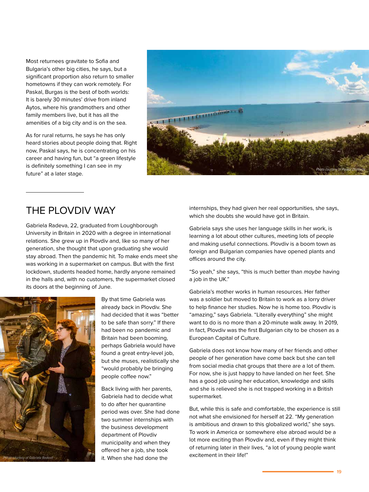Most returnees gravitate to Sofia and Bulgaria's other big cities, he says, but a significant proportion also return to smaller hometowns if they can work remotely. For Paskal, Burgas is the best of both worlds: It is barely 30 minutes' drive from inland Aytos, where his grandmothers and other family members live, but it has all the amenities of a big city and is on the sea.

As for rural returns, he says he has only heard stories about people doing that. Right now, Paskal says, he is concentrating on his career and having fun, but "a green lifestyle is definitely something I can see in my future" at a later stage.



#### THE PLOVDIV WAY

Gabriela Radeva, 22, graduated from Loughborough University in Britain in 2020 with a degree in international relations. She grew up in Plovdiv and, like so many of her generation, she thought that upon graduating she would stay abroad. Then the pandemic hit. To make ends meet she was working in a supermarket on campus. But with the first lockdown, students headed home, hardly anyone remained in the halls and, with no customers, the supermarket closed its doors at the beginning of June.



By that time Gabriela was already back in Plovdiv. She had decided that it was "better to be safe than sorry." If there had been no pandemic and Britain had been booming, perhaps Gabriela would have found a great entry-level job, but she muses, realistically she "would probably be bringing people coffee now."

Back living with her parents, Gabriela had to decide what to do after her quarantine period was over. She had done two summer internships with the business development department of Plovdiv municipality and when they offered her a job, she took it. When she had done the

internships, they had given her real opportunities, she says, which she doubts she would have got in Britain.

Gabriela says she uses her language skills in her work, is learning a lot about other cultures, meeting lots of people and making useful connections. Plovdiv is a boom town as foreign and Bulgarian companies have opened plants and offices around the city.

"So yeah," she says, "this is much better than *maybe* having a job in the UK."

Gabriela's mother works in human resources. Her father was a soldier but moved to Britain to work as a lorry driver to help finance her studies. Now he is home too. Plovdiv is "amazing," says Gabriela. "Literally everything" she might want to do is no more than a 20-minute walk away. In 2019, in fact, Plovdiv was the first Bulgarian city to be chosen as a European Capital of Culture.

Gabriela does not know how many of her friends and other people of her generation have come back but she can tell from social media chat groups that there are a lot of them. For now, she is just happy to have landed on her feet. She has a good job using her education, knowledge and skills and she is relieved she is not trapped working in a British supermarket.

But, while this is safe and comfortable, the experience is still not what she envisioned for herself at 22. "My generation is ambitious and drawn to this globalized world," she says. To work in America or somewhere else abroad would be a lot more exciting than Plovdiv and, even if they might think of returning later in their lives, "a lot of young people want excitement in their life!"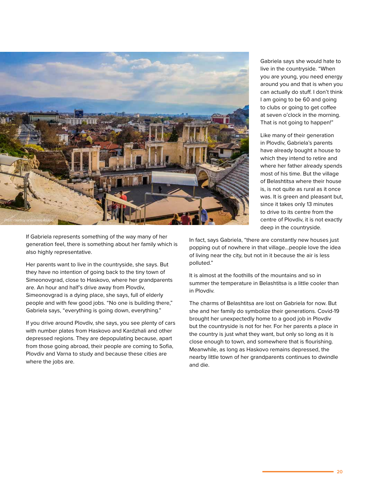

Gabriela says she would hate to live in the countryside. "When you are young, you need energy around you and that is when you can actually do stuff. I don't think I am going to be 60 and going to clubs or going to get coffee at seven o'clock in the morning. That is not going to happen!"

Like many of their generation in Plovdiv, Gabriela's parents have already bought a house to which they intend to retire and where her father already spends most of his time. But the village of Belashtitsa where their house is, is not quite as rural as it once was. It is green and pleasant but, since it takes only 13 minutes to drive to its centre from the centre of Plovdiv, it is not exactly deep in the countryside.

If Gabriela represents something of the way many of her generation feel, there is something about her family which is also highly representative.

Her parents want to live in the countryside, she says. But they have no intention of going back to the tiny town of Simeonovgrad, close to Haskovo, where her grandparents are. An hour and half's drive away from Plovdiv, Simeonovgrad is a dying place, she says, full of elderly people and with few good jobs. "No one is building there," Gabriela says, "everything is going down, everything."

If you drive around Plovdiv, she says, you see plenty of cars with number plates from Haskovo and Kardzhali and other depressed regions. They are depopulating because, apart from those going abroad, their people are coming to Sofia, Plovdiv and Varna to study and because these cities are where the jobs are.

In fact, says Gabriela, "there are constantly new houses just popping out of nowhere in that village…people love the idea of living near the city, but not in it because the air is less polluted."

It is almost at the foothills of the mountains and so in summer the temperature in Belashtitsa is a little cooler than in Plovdiv.

The charms of Belashtitsa are lost on Gabriela for now. But she and her family do symbolize their generations. Covid-19 brought her unexpectedly home to a good job in Plovdiv but the countryside is not for her. For her parents a place in the country is just what they want, but only so long as it is close enough to town, and somewhere that is flourishing. Meanwhile, as long as Haskovo remains depressed, the nearby little town of her grandparents continues to dwindle and die.